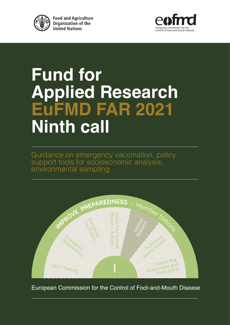

**Food and Agriculture Organization of the United Nations** 



## **Fund for Applied Research EuFMD FAR 2021 Ninth call**

Guidance on emergency vaccination, policy support tools for socioecnomic analysis, environmental sampling



European Commission for the Control of Foot-and-Mouth Disease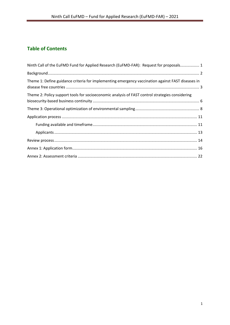## **Table of Contents**

| Ninth Call of the EuFMD Fund for Applied Research (EuFMD-FAR): Request for proposals 1            |
|---------------------------------------------------------------------------------------------------|
|                                                                                                   |
| Theme 1: Define guidance criteria for implementing emergency vaccination against FAST diseases in |
| Theme 2: Policy support tools for socioeconomic analysis of FAST control strategies considering   |
|                                                                                                   |
|                                                                                                   |
|                                                                                                   |
|                                                                                                   |
|                                                                                                   |
|                                                                                                   |
|                                                                                                   |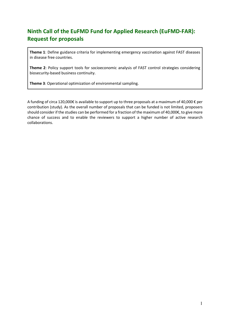## <span id="page-2-0"></span>**Ninth Call of the EuFMD Fund for Applied Research (EuFMD-FAR): Request for proposals**

**Theme 1**: Define guidance criteria for implementing emergency vaccination against FAST diseases in disease free countries.

**Theme 2**: Policy support tools for socioeconomic analysis of FAST control strategies considering biosecurity-based business continuity.

**Theme 3**: Operational optimization of environmental sampling.

A funding of circa 120,000€ is available to support up to three proposals at a maximum of 40,000 € per contribution (study). As the overall number of proposals that can be funded is not limited, proposers should consider if the studies can be performed for a fraction of the maximum of 40,000€, to give more chance of success and to enable the reviewers to support a higher number of active research collaborations.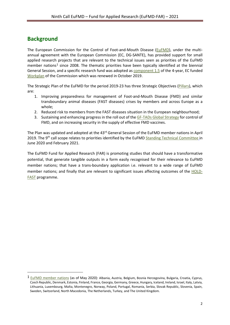## <span id="page-3-0"></span>**Background**

-

The European Commission for the Control of Foot-and-Mouth Disease [\(EuFMD\)](http://www.fao.org/eufmd/who-we-are/en/), under the multiannual agreement with the European Commission (EC, DG-SANTE), has provided support for small applied research projects that are relevant to the technical issues seen as priorities of the EuFMD member nations<sup>[1](#page-3-1)</sup> since 2008. The thematic priorities have been typically identified at the biennial General Session, and a specific research fund was adopted as [component 1.5](http://www.fao.org/eufmd/what-we-do/pillar-1/component-15/en/) of the 4-year, EC funded [Workplan](http://www.fao.org/3/ca7361en/ca7361en.pdf) of the Commission which was renewed in October 2019.

The Strategic Plan of the EuFMD for the period 2019-23 has three Strategic Objectives [\(Pillars\)](http://www.fao.org/eufmd/what-we-do/our-pillars/en/), which are:

- 1. Improving preparedness for management of Foot-and-Mouth Disease (FMD) and similar transboundary animal diseases (FAST diseases) crises by members and across Europe as a whole;
- 2. Reduced risk to members from the FAST diseases situation in the European neighbourhood;
- 3. Sustaining and enhancing progress in the roll out of th[e GF-TADs Global Strategy](http://www.fao.org/3/a-an390e.pdf) for control of FMD, and on increasing security in the supply of effective FMD vaccines.

The Plan was updated and adopted at the 43<sup>rd</sup> General Session of the EuFMD member nations in April 2019. The 9<sup>th</sup> call scope relates to priorities identified by the EuFMD [Standing Technical Committee](http://www.fao.org/eufmd/who-we-are/structure/standing-technical-committee/en/) in June 2020 and February 2021.

The EuFMD Fund for Applied Research (FAR) is promoting studies that should have a transformative potential, that generate tangible outputs in a form easily recognised for their relevance to EuFMD member nations; that have a trans-boundary application i.e. relevant to a wide range of EuFMD member nations; and finally that are relevant to significant issues affecting outcomes of the [HOLD-](http://www.fao.org/3/ca5337en/ca5337en.pdf)[FAST](http://www.fao.org/3/ca5337en/ca5337en.pdf) programme.

<span id="page-3-1"></span><sup>1</sup> [EuFMD member nations](http://www.fao.org/eufmd/who-we-are/member-countries/en/) (as of May 2020): Albania, Austria, Belgium, Bosnia Herzegovina, Bulgaria, Croatia, Cyprus, Czech Republic, Denmark, Estonia, Finland, France, Georgia, Germany, Greece, Hungary, Iceland, Ireland, Israel, Italy, Latvia, Lithuania, Luxembourg, Malta, Montenegro, Norway, Poland, Portugal, Romania, Serbia, Slovak Republic, Slovenia, Spain, Sweden, Switzerland, North Macedonia, The Netherlands, Turkey, and The United Kingdom.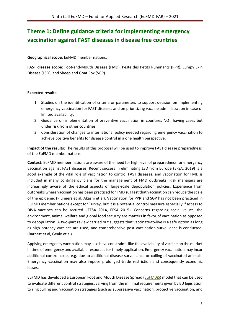## <span id="page-4-0"></span>**Theme 1: Define guidance criteria for implementing emergency vaccination against FAST diseases in disease free countries**

**Geographical scope**: EuFMD member nations.

**FAST disease scope**: Foot-and-Mouth Disease (FMD), Peste des Petits Ruminants (PPR), Lumpy Skin Disease (LSD), and Sheep and Goat Pox (SGP).

#### **Expected results:**

- 1. Studies on the identification of criteria or parameters to support decision on implementing emergency vaccination for FAST diseases and on prioritizing vaccine administration in case of limited availability,
- 2. Guidance on implementation of preventive vaccination in countries NOT having cases but under risk from other countries,
- 3. Consideration of changes to international policy needed regarding emergency vaccination to achieve positive benefits for disease control in a one health perspective.

**Impact of the results:** The results of this proposal will be used to improve FAST disease preparedness of the EuFMD member nations.

**Context:** EuFMD member nations are aware of the need for high level of preparedness for emergency vaccination against FAST diseases. Recent success in eliminating LSD from Europe (EFSA, 2019) is a good example of the vital role of vaccination to control FAST diseases, and vaccination for FMD is included in many contingency plans for the management of FMD outbreaks. Risk managers are increasingly aware of the ethical aspects of large-scale depopulation policies. Experience from outbreaks where vaccination has been practiced for FMD suggest that vaccination can reduce the scale of the epidemic (Plumiers et al, [Akashi](https://www.ncbi.nlm.nih.gov/pubmed/?term=Joo%20YS%5BAuthor%5D&cauthor=true&cauthor_uid=11989734) et al). Vaccination for PPR and SGP has not been practiced in EuFMD member nations except for Turkey, but it is a potential control measure especially if access to DIVA vaccines can be secured. (EFSA 2014, EFSA 2015). Concerns regarding social values, the environment, animal welfare and global food security are matters in favor of vaccination as opposed to depopulation. A two-part review carried out suggests that vaccinate-to-live is a safe option as long as high potency vaccines are used, and comprehensive post vaccination surveillance is conducted. (Barnett et al, Geale et al).

Applying emergency vaccination may also have constraints like the availability of vaccine on the market in time of emergency and available resources for timely application. Emergency vaccination may incur additional control costs, e.g. due to additional disease surveillance or culling of vaccinated animals. Emergency vaccination may also impose prolonged trade restriction and consequently economic losses.

EuFMD has developed a European Foot and Mouth Disease Spread [\(EuFMDiS\)](http://www.fao.org/eufmd/global-situation/eufmdis/fr/) model that can be used to evaluate different control strategies, varying from the minimal requirements given by EU legislation to ring culling and vaccination strategies (such as suppressive vaccination, protective vaccination, and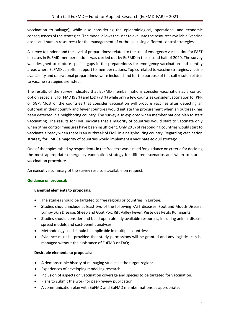vaccination to salvage), while also considering the epidemiological, operational and economic consequences of the strategies. The model allows the user to evaluate the resources available (vaccine doses and human resources) for the management of outbreaks using different control strategies.

A survey to understand the level of preparednessrelated to the use of emergency vaccination for FAST diseases in EuFMD member nations was carried out by EuFMD in the second half of 2020. The survey was designed to capture specific gaps in the preparedness for emergency vaccination and identify areas where EuFMD can offer support to member nations. Topics related to vaccine strategies, vaccine availability and operational preparedness were included and for the purpose of this call results related to vaccine strategies are listed.

The results of the survey indicates that EuFMD member nations consider vaccination as a control option especially for FMD (93%) and LSD (78 %) while only a few countries consider vaccination for PPR or SGP. Most of the countries that consider vaccination will procure vaccines after detecting an outbreak in their country and fewer countries would initiate the procurement when an outbreak has been detected in a neighboring country. The survey also explored when member nations plan to start vaccinating. The results for FMD indicate that a majority of countries would start to vaccinate only when other control measures have been insufficient. Only 20 % of responding countries would start to vaccinate already when there is an outbreak of FMD in a neighbouring country. Regarding vaccination strategy for FMD, a majority of countries would implement a vaccinate-to-cull strategy.

One of the topics raised by respondents in the free text was a need for guidance on criteria for deciding the most appropriate emergency vaccination strategy for different scenarios and when to start a vaccination procedure.

An executive summary of the survey results is available on request.

#### **Guidance on proposal:**

#### **Essential elements to proposals:**

- The studies should be targeted to free regions or countries in Europe;
- Studies should include at least two of the following FAST diseases: Foot and Mouth Disease, Lumpy Skin Disease, Sheep and Goat Pox, Rift Valley Fever, Peste des Petits Ruminants
- Studies should consider and build upon already available resources, including animal disease spread models and cost-benefit analyses;
- Methodology used should be applicable in multiple countries;
- Evidence must be provided that study permissions will be granted and any logistics can be managed without the assistance of EuFMD or FAO;

#### **Desirable elements to proposals:**

- A demonstrable history of managing studies in the target region;
- Experiences of developing modelling research
- Inclusion of aspects on vaccination coverage and species to be targeted for vaccination.
- Plans to submit the work for peer-review publication;
- A communication plan with EuFMD and EuFMD member nations as appropriate.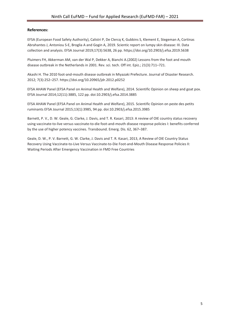#### **References:**

EFSA (European Food Safety Authority), Calistri P, De Clercq K, Gubbins S, Klement E, Stegeman A, Cortinas Abrahantes J, Antoniou S-E, Broglia A and Gogin A, 2019. Scientic report on lumpy skin disease: III. Data collection and analysis. EFSA Journal 2019;17(3):5638, 26 pp[. https://doi.org/10.2903/j.efsa.2019.5638](https://doi.org/10.2903/j.efsa.2019.5638)

Pluimers FH, Akkerman AM, van der Wal P, Dekker A, Bianchi A.(2002) Lessons from the foot and mouth disease outbreak in the Netherlands in 2001. Rev. sci. tech. Off int. Epiz.; 21(3):711–721.

Akashi H. The 2010 foot-and-mouth disease outbreak in Miyazaki Prefecture. Journal of Disaster Research. 2012; 7(3):252–257. https://doi.org/10.20965/jdr.2012.p0252

EFSA AHAW Panel (EFSA Panel on Animal Health and Welfare), 2014. Scientific Opinion on sheep and goat pox. EFSA Journal 2014;12(11):3885, 122 pp. doi:10.2903/j.efsa.2014.3885

EFSA AHAW Panel (EFSA Panel on Animal Health and Welfare), 2015. Scientific Opinion on peste des petits ruminants EFSA Journal 2015;13(1):3985, 94 pp. doi:10.2903/j.efsa.2015.3985

Barnett, P. V., D. W. Geale, G. Clarke, J. Davis, and T. R. Kasari, 2013: A review of OIE country status recovery using vaccinate-to-live versus vaccinate-to-die foot-and-mouth disease response policies I: benefits conferred by the use of higher potency vaccines. Transbound. Emerg. Dis. 62, 367–387.

Geale, D. W., P. V. Barnett, G. W. Clarke, J. Davis and T. R. Kasari, 2013, A Review of OIE Country Status Recovery Using Vaccinate-to-Live Versus Vaccinate-to-Die Foot-and-Mouth Disease Response Policies II: Waiting Periods After Emergency Vaccination in FMD Free Countries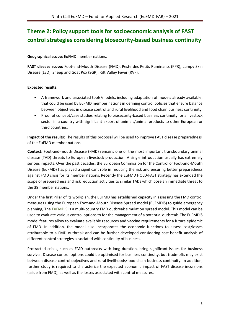## <span id="page-7-0"></span>**Theme 2: Policy support tools for socioeconomic analysis of FAST control strategies considering biosecurity-based business continuity**

**Geographical scope**: EuFMD member nations.

**FAST disease scope**: Foot-and-Mouth Disease (FMD), Peste des Petits Ruminants (PPR), Lumpy Skin Disease (LSD), Sheep and Goat Pox (SGP), Rift Valley Fever (RVF).

#### **Expected results:**

- A framework and associated tools/models, including adaptation of models already available, that could be used by EuFMD member nations in defining control policies that ensure balance between objectives in disease control and rural livelihood and food chain business continuity,
- Proof of concept/case studies relating to biosecurity-based business continuity for a livestock sector in a country with significant export of animals/animal products to other European or third countries.

**Impact of the results:** The results of this proposal will be used to improve FAST disease preparedness of the EuFMD member nations.

**Context:** Foot-and-mouth Disease (FMD) remains one of the most important transboundary animal disease (TAD) threats to European livestock production. A single introduction usually has extremely serious impacts. Over the past decades, the European Commission for the Control of Foot-and-Mouth Disease (EuFMD) has played a significant role in reducing the risk and ensuring better preparedness against FMD crisis for its member nations. Recently the EuFMD HOLD-FAST strategy has extended the scope of preparedness and risk reduction activities to similar TADs which pose an immediate threat to the 39 member nations.

Under the first Pillar of its workplan, the EuFMD has established capacity in assessing the FMD control measures using the European Foot-and-Mouth Disease Spread model (EuFMDiS) to guide emergency planning, The [EuFMDiS](http://www.fao.org/eufmd/global-situation/eufmdis/en/) is a multi-country FMD outbreak simulation spread model. This model can be used to evaluate various control options to for the management of a potential outbreak. The EuFMDiS model features allow to evaluate available resources and vaccine requirements for a future epidemic of FMD. In addition, the model also incorporates the economic functions to assess cost/losses attributable to a FMD outbreak and can be further developed considering cost-benefit analysis of different control strategies associated with continuity of business.

Protracted crises, such as FMD outbreaks with long duration, bring significant issues for business survival. Disease control options could be optimised for business continuity, but trade-offs may exist between disease control objectives and rural livelihoods/food chain business continuity. In addition, further study is required to characterize the expected economic impact of FAST disease incursions (aside from FMD), as well as the losses associated with control measures.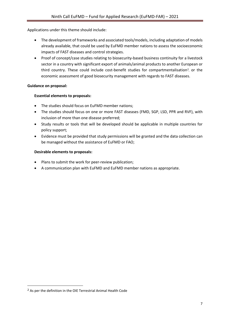Applications under this theme should include:

- The development of frameworks and associated tools/models, including adaptation of models already available, that could be used by EuFMD member nations to assess the socioeconomic impacts of FAST diseases and control strategies.
- Proof of concept/case studies relating to biosecurity-based business continuity for a livestock sector in a country with significant export of animals/animal products to another European or third country. These could include cost-benefit studies for compartmentalisation<sup>2</sup>, or the economic assessment of good biosecurity management with regards to FAST diseases.

#### **Guidance on proposal:**

#### **Essential elements to proposals:**

- The studies should focus on EuFMD member nations;
- The studies should focus on one or more FAST diseases (FMD, SGP, LSD, PPR and RVF), with inclusion of more than one disease preferred;
- Study results or tools that will be developed should be applicable in multiple countries for policy support;
- Evidence must be provided that study permissions will be granted and the data collection can be managed without the assistance of EuFMD or FAO;

#### **Desirable elements to proposals:**

- Plans to submit the work for peer-review publication;
- A communication plan with EuFMD and EuFMD member nations as appropriate.

-

<span id="page-8-0"></span><sup>2</sup> As per the definition in the OIE Terrestrial Animal Health Code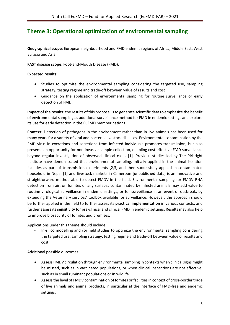## <span id="page-9-0"></span>**Theme 3: Operational optimization of environmental sampling**

**Geographical scope**: European neighbourhood and FMD endemic regions of Africa, Middle East, West Eurasia and Asia.

**FAST disease scope**: Foot-and-Mouth Disease (FMD).

#### **Expected results:**

- Studies to optimize the environmental sampling considering the targeted use, sampling strategy, testing regime and trade-off between value of results and cost
- Guidance on the application of environmental sampling for routine surveillance or early detection of FMD.

**Impact of the results:** the results of this proposal is to generate scientific data to emphasize the benefit of environmental sampling as additional surveillance method for FMD in endemic settings and explore its use for early detection in the EuFMD member nations.

**Context:** Detection of pathogens in the environment rather than in live animals has been used for many years for a variety of viral and bacterial livestock diseases. Environmental contamination by the FMD virus in excretions and secretions from infected individuals promotes transmission, but also presents an opportunity for non-invasive sample collection, enabling cost-effective FMD surveillance beyond regular investigation of observed clinical cases [1]. Previous studies led by The Pirbright Institute have demonstrated that environmental sampling, initially applied in the animal isolation facilities as part of transmission experiments [2,3] and then successfully applied in contaminated household in Nepal [1] and livestock markets in Cameroon [unpublished data] is an innovative and straightforward method able to detect FMDV in the field. Environmental sampling for FMDV RNA detection from air, on fomites or any surfaces contaminated by infected animals may add value to routine virological surveillance in endemic settings, or for surveillance in an event of outbreak, by extending the Veterinary services' toolbox available for surveillance. However, the approach should be further applied in the field to further assess its **practical implementation** in various contexts, and further assess its **sensitivity** for pre-clinical and clinical FMD in endemic settings. Results may also help to improve biosecurity of fomites and premises.

Applications under this theme should include:

- In-silico modelling and /or field studies to optimize the environmental sampling considering the targeted use, sampling strategy, testing regime and trade-off between value of results and cost.

Additional possible outcomes:

- Assess FMDV circulation through environmental sampling in contexts when clinical signs might be missed, such as in vaccinated populations, or when clinical inspections are not effective, such as in small ruminant populations or in wildlife.
- Assess the level of FMDV contamination of fomites or facilities in context of cross-border trade of live animals and animal products, in particular at the interface of FMD-free and endemic settings.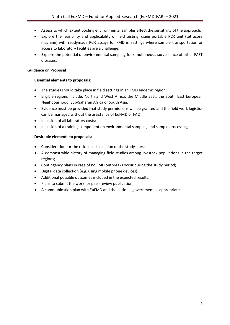- Assess to which extent pooling environmental samples affect the sensitivity of the approach.
- Explore the feasibility and applicability of field testing, using portable PCR unit (tetracore machine) with readymade PCR assays for FMD in settings where sample transportation or access to laboratory facilities are a challenge.
- Explore the potential of environmental sampling for simultaneous surveillance of other FAST diseases.

#### **Guidance on Proposal**

#### **Essential elements to proposals:**

- The studies should take place in field settings in an FMD endemic region;
- Eligible regions include: North and West Africa, the Middle East, the South East European Neighbourhood, Sub-Saharan Africa or South Asia;
- Evidence must be provided that study permissions will be granted and the field work logistics can be managed without the assistance of EuFMD or FAO;
- Inclusion of all laboratory costs;
- Inclusion of a training component on environmental sampling and sample processing.

#### **Desirable elements to proposals:**

- Consideration for the risk-based selection of the study sites;
- A demonstrable history of managing field studies among livestock populations in the target regions;
- Contingency plans in case of no FMD outbreaks occur during the study period;
- Digital data collection (e.g. using mobile phone devices);
- Additional possible outcomes included in the expected results;
- Plans to submit the work for peer-review publication;
- A communication plan with EuFMD and the national government as appropriate.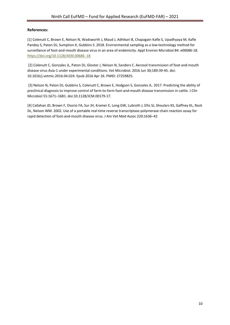#### **References:**

[1] Colenutt C, Brown E, Nelson N, Wadsworth J, Maud J, Adhikari B, Chapagain Kafle S, Upadhyaya M, Kafle Pandey S, Paton DJ, Sumption K, Gubbins S. 2018. Environmental sampling as a low-technology method for surveillance of foot-and-mouth disease virus in an area of endemicity. Appl Environ Microbiol 84: e00686-18. [https://doi.org/10.1128/AEM.00686 -18](https://doi.org/10.1128/AEM.00686%20-18)

[2] Colenutt C, Gonzales JL, Paton DJ, Gloster J, Nelson N, Sanders C. Aerosol transmission of foot-and-mouth disease virus Asia-1 under experimental conditions. Vet Microbiol. 2016 Jun 30;189:39-45. doi: 10.1016/j.vetmic.2016.04.024. Epub 2016 Apr 26. PMID: 27259825.

[3] Nelson N, Paton DJ, Gubbins S, Colenutt C, Brown E, Hodgson S, Gonzales JL. 2017. Predicting the ability of preclinical diagnosis to improve control of farm-to-farm foot-and-mouth disease transmission in cattle. J Clin Microbiol 55:1671–1681. doi:10.1128/JCM.00179-17.

[4] Callahan JD, Brown F, Osorio FA, Sur JH, Kramer E, Long GW, Lubroth J, Ellis SJ, Shoulars KS, Gaffney KL, Rock DL, Nelson WM. 2002. Use of a portable real-time reverse transcriptase-polymerase chain reaction assay for rapid detection of foot-and-mouth disease virus. J Am Vet Med Assoc 220:1636–42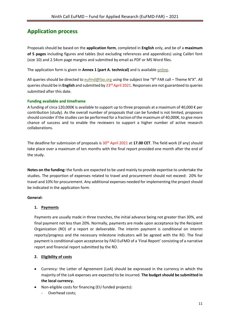## <span id="page-12-0"></span>**Application process**

Proposals should be based on the **application form**, completed in **English** only, and be of a **maximum of 5 pages** including figures and tables (but excluding references and appendices) using Calibri font (size 10) and 2.54cm page margins and submitted by email as PDF or MS Word files.

The application form is given in **Annex 1 (part A. technical)** and is availabl[e online.](https://www.eufmd.info/far)

All queries should be directed to [eufmd@fao.org](mailto:eufmd@fao.org) using the subject line "9<sup>th</sup> FAR call – Theme N°X". All queries should be in **English** and submitted by 23rd April 2021. Responses are not guaranteed to queries submitted after this date.

#### <span id="page-12-1"></span>**Funding available and timeframe**

A funding of circa 120,000€ is available to support up to three proposals at a maximum of 40,000 € per contribution (study). As the overall number of proposals that can be funded is not limited, proposers should consider if the studies can be performed for a fraction of the maximum of 40,000€, to give more chance of success and to enable the reviewers to support a higher number of active research collaborations.

The deadline for submission of proposals is 30<sup>th</sup> April 2021 at 17.00 CET. The field work (if any) should take place over a maximum of ten months with the final report provided one month after the end of the study.

**Notes on the funding:** the funds are expected to be used mainly to provide expertise to undertake the studies. The proportion of expenses related to travel and procurement should not exceed: 20% for travel and 10% for procurement. Any additional expenses needed for implementing the project should be indicated in the application form.

#### **General:**

#### **1. Payments**

Payments are usually made in three tranches, the initial advance being not greater than 30%, and final payment not less than 20%. Normally, payments are made upon acceptance by the Recipient Organization (RO) of a report or deliverable. The interim payment is conditional on interim reports/progress and the necessary milestone indicators will be agreed with the RO. The final payment is conditional upon acceptance by FAO EuFMD of a 'Final Report' consisting of a narrative report and financial report submitted by the RO.

#### **2. Eligibility of costs**

- Currency: the Letter of Agreement (LoA) should be expressed in the currency in which the majority of the LoA expenses are expected to be incurred. **The budget should be submitted in the local currency.**
- Non-eligible costs for financing (EU funded projects):
	- Overhead costs;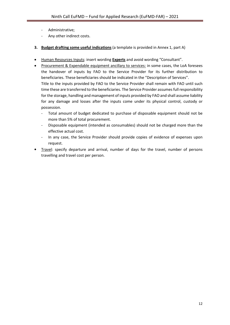- Administrative;
- Any other indirect costs.
- **3. Budget drafting some useful indications** (a template is provided in Annex 1, part A)
- Human Resources Inputs: insert wording **Experts** and avoid wording "Consultant".
- Procurement & Expendable equipment ancillary to services: in some cases, the LoA foresees the handover of inputs by FAO to the Service Provider for its further distribution to beneficiaries. These beneficiaries should be indicated in the "Description of Services". Title to the inputs provided by FAO to the Service Provider shall remain with FAO until such time these are transferred to the beneficiaries. The Service Provider assumes full responsibility for the storage, handling and management of inputs provided by FAO and shall assume liability for any damage and losses after the inputs come under its physical control, custody or possession.
	- Total amount of budget dedicated to purchase of disposable equipment should not be more than 5% of total procurement.
	- Disposable equipment (intended as consumables) should not be charged more than the effective actual cost.
	- In any case, the Service Provider should provide copies of evidence of expenses upon request.
- Travel: specify departure and arrival, number of days for the travel, number of persons travelling and travel cost per person.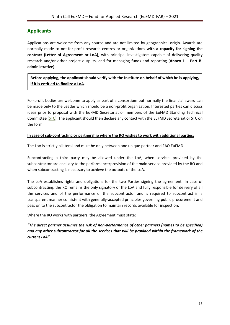#### <span id="page-14-0"></span>**Applicants**

Applications are welcome from any source and are not limited by geographical origin. Awards are normally made to not-for-profit research centres or organizations **with a capacity for signing the contract (Letter of Agreement or LoA)**, with principal investigators capable of delivering quality research and/or other project outputs, and for managing funds and reporting (**Annex 1 – Part B. administrative**).

**Before applying, the applicant should verify with the Institute on behalf of which he is applying, if it is entitled to finalize a LoA**.

For-profit bodies are welcome to apply as part of a consortium but normally the financial award can be made only to the Leader which should be a non-profit organisation. Interested parties can discuss ideas prior to proposal with the EuFMD Secretariat or members of the EuFMD Standing Technical Committee [\(STC\)](http://www.fao.org/eufmd/who-we-are/structure/standing-technical-committee/en/). The applicant should then declare any contact with the EuFMD Secretariat or STC on the form.

#### **In case of sub-contracting or partnership where the RO wishes to work with additional parties:**

The LoA is strictly bilateral and must be only between one unique partner and FAO EuFMD.

Subcontracting a third party may be allowed under the LoA, when services provided by the subcontractor are ancillary to the performance/provision of the main service provided by the RO and when subcontracting is necessary to achieve the outputs of the LoA.

The LoA establishes rights and obligations for the two Parties signing the agreement. In case of subcontracting, the RO remains the only signatory of the LoA and fully responsible for delivery of all the services and of the performance of the subcontractor and is required to subcontract in a transparent manner consistent with generally-accepted principles governing public procurement and pass on to the subcontractor the obligation to maintain records available for inspection.

Where the RO works with partners, the Agreement must state:

*"The direct partner assumes the risk of non-performance of other partners (names to be specified) and any other subcontractor for all the services that will be provided within the framework of the current LoA"***.**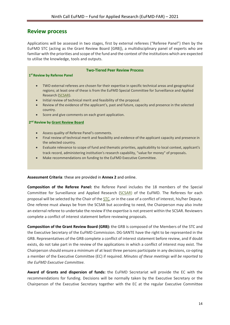#### <span id="page-15-0"></span>**Review process**

**1st Review by Referee Panel**

Applications will be assessed in two stages, first by external referees ("Referee Panel") then by the EuFMD STC (acting as the Grant Review Board [GRB]), a multidisciplinary panel of experts who are familiar with the priorities and scope of the fund and the context of the institutions which are expected to utilise the knowledge, tools and outputs.

#### **Two-Tiered Peer Review Process**

- TWO external referees are chosen for their expertise in specific technical areas and geographical regions; at least one of these is from the EuFMD Special Committee for Surveillance and Applied Research [\(SCSAR\)](http://www.fao.org/eufmd/who-we-are/structure/special-committee-research-and-programme-development/en/).
- Initial review of technical merit and feasibility of the proposal.
- Review of the evidence of the applicant's, past and future, capacity and presence in the selected country.
- Score and give comments on each grant application.

#### **2nd Review by [Grant Review Board](http://www.fhb.gov.hk/grants/english/funds/funds_hmrf/funds_hmrf_forms/files/grb_members.pdf)**

- Assess quality of Referee Panel's comments.
- Final review of technical merit and feasibility and evidence of the applicant capacity and presence in the selected country.
- Evaluate relevance to scope of fund and thematic priorities, applicability to local context, applicant's track record, administering institution's research capability, "value for money" of proposals.
- Make recommendations on funding to the EuFMD Executive Committee.

#### **Assessment Criteria**: these are provided in **Annex 2** and online.

**Composition of the Referee Panel:** the Referee Panel includes the 18 members of the Special Committee for Surveillance and Applied Research [\(SCSAR\)](http://www.fao.org/eufmd/who-we-are/structure/special-committee-research-and-programme-development/en/) of the EuFMD. The Referees for each proposal will be selected by the Chair of the [STC,](http://www.fao.org/eufmd/who-we-are/structure/standing-technical-committee/en/) or in the case of a conflict of interest, his/her Deputy. One referee must always be from the SCSAR but according to need, the Chairperson may also invite an external referee to undertake the review if the expertise is not present within the SCSAR. Reviewers complete a conflict of interest statement before reviewing proposals.

**Composition of the Grant Review Board (GRB):** the GRB is composed of the Members of the STC and the Executive Secretary of the EuFMD Commission. DG-SANTE have the right to be represented in the GRB. Representatives of the GRB complete a conflict of interest statement before review, and if doubt exists, do not take part in the review of the applications in which a conflict of interest may exist. The Chairperson should ensure a minimum of at least three persons participate in any decisions, co-opting a member of the Executive Committee (EC) if required. *Minutes of these meetings will be reported to the EuFMD Executive Committee.*

**Award of Grants and dispersion of funds:** the EuFMD Secretariat will provide the EC with the recommendations for funding. Decisions will be normally taken by the Executive Secretary or the Chairperson of the Executive Secretary together with the EC at the regular Executive Committee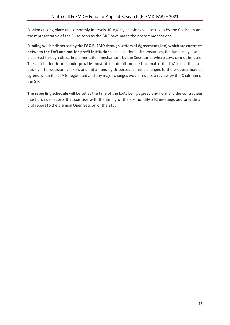Sessions taking place at six monthly intervals. If urgent, decisions will be taken by the Chairman and the representative of the EC as soon as the GRB have made their recommendations.

**Funding will be dispersed by the FAO EuFMD through Letters of Agreement (LoA) which are contracts between the FAO and not-for-profit institutions.** In exceptional circumstances, the funds may also be dispersed through direct implementation mechanisms by the Secretariat where LoAs cannot be used. The application form should provide most of the details needed to enable the LoA to be finalised quickly after decision is taken, and initial funding dispersed. Limited changes to the proposal may be agreed when the LoA is negotiated and any major changes would require a review by the Chairman of the STC.

**The reporting schedule** will be set at the time of the LoAs being agreed and normally the contractees must provide reports that coincide with the timing of the six-monthly STC meetings and provide an oral report to the biennial Open Session of the STC.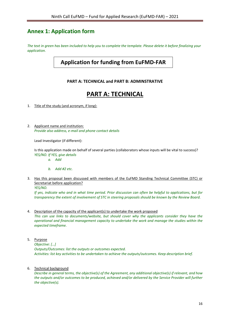## <span id="page-17-0"></span>**Annex 1: Application form**

*The text in green has been included to help you to complete the template. Please delete it before finalizing your application.*

## **Application for funding from EuFMD-FAR**

#### **PART A: TECHNICAL and PART B: ADMINSTRATIVE**

## **PART A: TECHNICAL**

- 1. Title of the study (and acronym, if long):
- 2. Applicant name and institution: *Provide also address, e-mail and phone contact details*

Lead Investigator (if different):

Is this application made on behalf of several parties (collaborators whose inputs will be vital to success)? *YES/NO. If YES, give details*

- *a. Add*
- *b. Add #2 etc.*
- 3. Has this proposal been discussed with members of the EuFMD Standing Technical Committee (STC) or Secretariat before application?

*YES/NO.* 

*If yes, indicate who and in what time period. Prior discussion can often be helpful to applications, but for transparency the extent of involvement of STC in steering proposals should be known by the Review Board.* 

- 4. Description of the capacity of the applicant(s) to undertake the work proposed *This can use links to documents/website, but should cover why the applicants consider they have the operational and financial management capacity to undertake the work and manage the studies within the expected timeframe.*
- 5. Purpose

*Objective: […] Outputs/Outcomes: list the outputs or outcomes expected. Activities: list key activities to be undertaken to achieve the outputs/outcomes. Keep description brief.*

6. Technical background

*Describe in general terms, the objective(s) of the Agreement, any additional objective(s) if relevant, and how the outputs and/or outcomes to be produced, achieved and/or delivered by the Service Provider will further the objective(s).*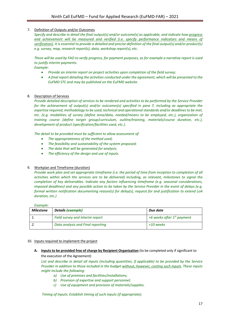#### 7. Definition of Outputs and/or Outcomes

*Specify and describe in detail the final output(s) and/or outcome(s) as applicable, and indicate how progress and achievement will be measured and verified (i.e. specify performance indicators and means of verification). It is essential to provide a detailed and precise definition of the final output(s) and/or product(s) e.g. survey, map, research report(s), data, workshop report(s), etc.*

*These will be used by FAO to verify progress, for payment purposes, as for example a narrative report is used to justify interim payments.* 

#### *Example:*

- *Provide an interim report on project activities upon completion of the field survey;*
- *A final report detailing the activities conducted under the agreement, which will be presented to the EuFMD STC and may be published on the EuFMD website.*

#### 8. Description of Services

*Provide detailed description of services to be rendered and activities to be performed by the Service Provider for the achievement of output(s) and/or outcomes(s) specified in para 7, including as appropriate the expertise required, methodology to be used, technical and operational standards and/or deadlines to be met, etc. (e.g. modalities of survey (define area/data, needed/means to be employed, etc.), organization of training course (define target group/curriculum, outline/training, materials/course duration, etc.), development of product (specification/facilities used, etc.).*

*The detail to be provided must be sufficient to allow assessment of:* 

- *The appropriateness of the method used;*
- *The feasibility and sustainability of the system proposed;*
- *The data that will be generated for analysis;*
- *The efficiency of the design and use of inputs.*

#### 9. Workplan and Timeframe (duration)

*Provide work plan and set appropriate timeframe (i.e. the period of time from inception to completion of all activities within which the services are to be delivered) including, as relevant, milestones to signal the completion of key deliverables. Indicate any factors influencing timeframe (e.g. seasonal considerations, imposed deadlines) and any possible action to be taken by the Service Provider in the event of delays (e.g. formal written notification documenting reason(s) for delay(s), request for and justification to extend LoA duration, etc.)*

#### *Example:*

| <b>Milestone</b> | <b>Details (example)</b>          | Due date                               |
|------------------|-----------------------------------|----------------------------------------|
|                  | Field survey and Interim report   | +6 weeks after 1 <sup>st</sup> payment |
|                  | Data analysis and Final reporting | +10 weeks                              |

#### 10. Inputs required to implement the project

**A. Inputs to be provided free of charge by Recipient Organization** (to be completed only if significant to the execution of the Agreement)

*List and describe in detail all inputs (including quantities, if applicable) to be provided by the Service Provider in addition to those included in the budget without, however, costing such inputs. These inputs might include the following:*

- *a) Use of premises and facilities/installations;*
- *b) Provision of expertise and support personnel;*
- *c) Use of equipment and provision of materials/supplies.*

*Timing of Inputs: Establish timing of such inputs (if appropriate).*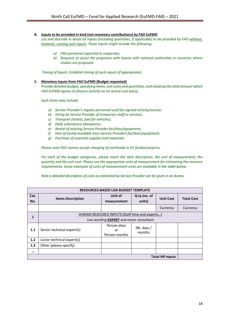#### **B. Inputs to be provided in kind (not monetary contributions) by FAO EuFMD**

*List and describe in detail all inputs (including quantities, if applicable) to be provided by FAO without, however, costing such inputs. These inputs might include the following:*

- *a) FAO personnel expected to cooperate;*
- *b) Requests to assist the proposers with liaison with national authorities in countries where studies are proposed.*

*Timing of Inputs: Establish timing of such inputs (if appropriate).*

#### **C. Monetary inputs from FAO EuFMD (Budget requested)**

*Provide detailed budget, specifying items, unit costs and quantities, and showing the total amount which FAO EuFMD agrees to finance (strictly on an actual cost basis).*

*Such items may include:*

- *a) Service Provider's regular personnel used for agreed activity/service;*
- *b) Hiring by Service Provider of temporary staff or services;*
- *c) Transport (tickets, fuel for vehicles);*
- *d) Daily subsistence allowances;*
- *e) Rental of existing Service Provider facilities/equipment;*
- *f) Hire of locally available (non-Service Provider) facilities/equipment;*
- *g) Purchase of essential supplies and materials.*

*Please note FAO cannot accept charging of overheads in EU funded projects.*

*For each of the budget categories, please insert the item description, the unit of measurement, the quantity and the unit cost. Please use the appropriate units of measurement for estimating the resource requirements. Some examples of units of measurement units are available in the table below.*

*Note a detailed description of costs as estimated by Service Provider can be given in an Annex.*

| <b>RESOURCES-BASED LOA BUDGET TEMPLATE</b> |                                                                                                  |                                    |                        |                  |                   |
|--------------------------------------------|--------------------------------------------------------------------------------------------------|------------------------------------|------------------------|------------------|-------------------|
| Cat.<br>No.                                | <b>Items Description</b>                                                                         | Unit of<br>measurement             | Q.ty (no. of<br>units) | <b>Unit Cost</b> | <b>Total Cost</b> |
|                                            |                                                                                                  |                                    |                        | Currency         | Currency          |
| 1                                          | HUMAN RESOURCE INPUTS (Staff time and experts)<br>Use wording <b>EXPERT</b> and never consultant |                                    |                        |                  |                   |
| 1.1                                        | Senior technical expert(s)                                                                       | Person-days<br>or<br>Person-months | Nb. days /<br>months   |                  |                   |
| 1.2                                        | Junior technical expert(s)                                                                       |                                    |                        |                  |                   |
| 1.3                                        | Other (please specify)                                                                           |                                    |                        |                  |                   |
|                                            |                                                                                                  |                                    |                        |                  |                   |
| <b>Total HR inputs</b>                     |                                                                                                  |                                    |                        |                  |                   |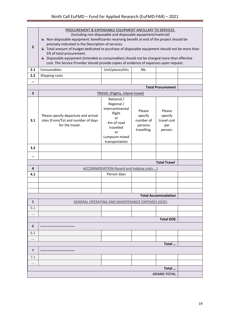| $\overline{2}$ | PROCUREMENT & EXPENDABLE EQUIPMENT ANCILLARY TO SERVICES<br>(including non-disposable and disposable equipment/material)<br>Non-disposable equipment: beneficiaries receiving benefit at end of the project should be<br>precisely indicated in the Description of services.<br>Total amount of budget dedicated to purchase of disposable equipment should not be more than<br>5% of total procurement.<br>$\downarrow$ Disposable equipment (intended as consumables) should not be charged more than effective<br>cost. The Service Provider should provide copies of evidence of expenses upon request. |                                                                                                                                  |                                                          |                                                    |  |
|----------------|-------------------------------------------------------------------------------------------------------------------------------------------------------------------------------------------------------------------------------------------------------------------------------------------------------------------------------------------------------------------------------------------------------------------------------------------------------------------------------------------------------------------------------------------------------------------------------------------------------------|----------------------------------------------------------------------------------------------------------------------------------|----------------------------------------------------------|----------------------------------------------------|--|
| 2.1            | Consumables                                                                                                                                                                                                                                                                                                                                                                                                                                                                                                                                                                                                 | Unit/pieces/kits                                                                                                                 | Nb.                                                      |                                                    |  |
| 2.2            | Shipping costs                                                                                                                                                                                                                                                                                                                                                                                                                                                                                                                                                                                              |                                                                                                                                  |                                                          |                                                    |  |
|                |                                                                                                                                                                                                                                                                                                                                                                                                                                                                                                                                                                                                             |                                                                                                                                  |                                                          |                                                    |  |
|                | <b>Total Procurement</b>                                                                                                                                                                                                                                                                                                                                                                                                                                                                                                                                                                                    |                                                                                                                                  |                                                          |                                                    |  |
| 3              |                                                                                                                                                                                                                                                                                                                                                                                                                                                                                                                                                                                                             | <b>TRAVEL (Flights, inland travel)</b>                                                                                           |                                                          |                                                    |  |
| 3.1            | Please specify departure and arrival<br>sites (From/To) and number of days<br>for the travel.                                                                                                                                                                                                                                                                                                                                                                                                                                                                                                               | National /<br>Regional /<br>Intercontinental<br>flight<br>or<br>Km of road<br>travelled<br>or<br>Lumpsum mixed<br>transportation | Please<br>specify<br>number of<br>persons<br>travelling. | Please<br>specify<br>travel cost<br>per<br>person. |  |
| 3.2            |                                                                                                                                                                                                                                                                                                                                                                                                                                                                                                                                                                                                             |                                                                                                                                  |                                                          |                                                    |  |
|                |                                                                                                                                                                                                                                                                                                                                                                                                                                                                                                                                                                                                             |                                                                                                                                  |                                                          |                                                    |  |
|                |                                                                                                                                                                                                                                                                                                                                                                                                                                                                                                                                                                                                             |                                                                                                                                  |                                                          | <b>Total Travel</b>                                |  |
| 4              |                                                                                                                                                                                                                                                                                                                                                                                                                                                                                                                                                                                                             | <b>ACCOMMODATION (board and lodging costs )</b>                                                                                  |                                                          |                                                    |  |
| 4.1            |                                                                                                                                                                                                                                                                                                                                                                                                                                                                                                                                                                                                             | Person days                                                                                                                      |                                                          |                                                    |  |
|                |                                                                                                                                                                                                                                                                                                                                                                                                                                                                                                                                                                                                             |                                                                                                                                  |                                                          |                                                    |  |
|                |                                                                                                                                                                                                                                                                                                                                                                                                                                                                                                                                                                                                             |                                                                                                                                  |                                                          |                                                    |  |
|                |                                                                                                                                                                                                                                                                                                                                                                                                                                                                                                                                                                                                             |                                                                                                                                  |                                                          |                                                    |  |
|                |                                                                                                                                                                                                                                                                                                                                                                                                                                                                                                                                                                                                             |                                                                                                                                  |                                                          | <b>Total Accommodation</b>                         |  |
| 5              |                                                                                                                                                                                                                                                                                                                                                                                                                                                                                                                                                                                                             | <b>GENERAL OPERATING AND MAINTENANCE EXPENSES (GOE)</b>                                                                          |                                                          |                                                    |  |
| 5.1            |                                                                                                                                                                                                                                                                                                                                                                                                                                                                                                                                                                                                             |                                                                                                                                  |                                                          |                                                    |  |
| $\cdots$       |                                                                                                                                                                                                                                                                                                                                                                                                                                                                                                                                                                                                             |                                                                                                                                  |                                                          |                                                    |  |
|                |                                                                                                                                                                                                                                                                                                                                                                                                                                                                                                                                                                                                             |                                                                                                                                  |                                                          | <b>Total GOE</b>                                   |  |
| 6              |                                                                                                                                                                                                                                                                                                                                                                                                                                                                                                                                                                                                             |                                                                                                                                  |                                                          |                                                    |  |
| 6.1            |                                                                                                                                                                                                                                                                                                                                                                                                                                                                                                                                                                                                             |                                                                                                                                  |                                                          |                                                    |  |
|                |                                                                                                                                                                                                                                                                                                                                                                                                                                                                                                                                                                                                             |                                                                                                                                  |                                                          |                                                    |  |
|                |                                                                                                                                                                                                                                                                                                                                                                                                                                                                                                                                                                                                             |                                                                                                                                  |                                                          | Total                                              |  |
| $\overline{7}$ |                                                                                                                                                                                                                                                                                                                                                                                                                                                                                                                                                                                                             |                                                                                                                                  |                                                          |                                                    |  |
| 7.1            |                                                                                                                                                                                                                                                                                                                                                                                                                                                                                                                                                                                                             |                                                                                                                                  |                                                          |                                                    |  |
|                |                                                                                                                                                                                                                                                                                                                                                                                                                                                                                                                                                                                                             |                                                                                                                                  |                                                          |                                                    |  |
|                |                                                                                                                                                                                                                                                                                                                                                                                                                                                                                                                                                                                                             |                                                                                                                                  |                                                          | Total                                              |  |
|                | <b>GRAND TOTAL</b>                                                                                                                                                                                                                                                                                                                                                                                                                                                                                                                                                                                          |                                                                                                                                  |                                                          |                                                    |  |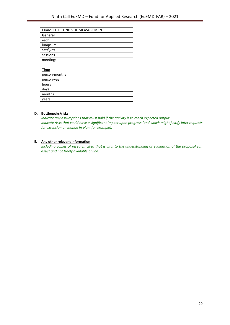| EXAMPLE OF UNITS OF MEASUREMENT |
|---------------------------------|
| General                         |
| each                            |
| lumpsum                         |
| sets\kits                       |
| sessions                        |
| meetings                        |
|                                 |
| <b>Time</b>                     |
| person-months                   |
| person-year                     |
| hours                           |
| days                            |
| months                          |
| vears                           |

#### **D. Bottlenecks/risks**

*Indicate any assumptions that must hold if the activity is to reach expected output. Indicate risks that could have a significant impact upon progress (and which might justify later requests for extension or change in plan, for example).*

#### **E. Any other relevant information**

*Including copies of research cited that is vital to the understanding or evaluation of the proposal can assist and not freely available online.*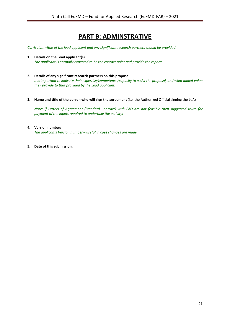## **PART B: ADMINSTRATIVE**

*Curriculum vitae of the lead applicant and any significant research partners should be provided.* 

- **1. Details on the Lead applicant(s)** *The applicant is normally expected to be the contact point and provide the reports.*
- **2. Details of any significant research partners on this proposal** *It is important to indicate their expertise/competence/capacity to assist the proposal, and what added-value they provide to that provided by the Lead applicant.*
- **3. Name and title of the person who will sign the agreement** (i.e. the Authorized Official signing the LoA)

*Note: if Letters of Agreement (Standard Contract) with FAO are not feasible then suggested route for payment of the inputs required to undertake the activity:*

**4. Version number:** 

*The applicants Version number – useful in case changes are made*

**5. Date of this submission:**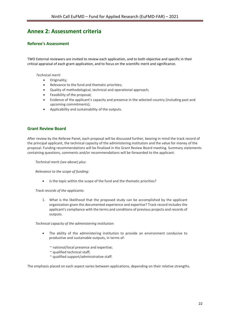## <span id="page-23-0"></span>**Annex 2: Assessment criteria**

#### **Referee's Assessment**

TWO External reviewers are invited to review each application, and to both objective and specific in their critical appraisal of each grant application, and to focus on the scientific merit and significance.

*Technical merit:* 

- Originality;
- Relevance to the fund and thematic priorities;
- Quality of methodological, technical and operational approach;
- Feasibility of the proposal;
- Evidence of the applicant's capacity and presence in the selected country (including past and upcoming commitments);
- Applicability and sustainability of the outputs.

#### **Grant Review Board**

After review by the Referee Panel, each proposal will be discussed further, bearing in mind the track record of the principal applicant, the technical capacity of the administering institution and the value for money of the proposal. Funding recommendations will be finalised in the Grant Review Board meeting. Summary statements containing questions, comments and/or recommendations will be forwarded to the applicant.

*Technical merit (see above) plus:*

*Relevance to the scope of funding:*

Is the topic within the scope of the fund and the thematic priorities?

*Track records of the applicants:*

1. What is the likelihood that the proposed study can be accomplished by the applicant organization given the documented experience and expertise? Track record includes the applicant's compliance with the terms and conditions of previous projects and records of outputs.

*Technical capacity of the administering institution:*

- The ability of the administering institution to provide an environment conducive to productive and sustainable outputs, in terms of:
	- ~ national/local presence and expertise;
	- ~ qualified technical staff;
	- ~ qualified support/administrative staff.

The emphasis placed on each aspect varies between applications, depending on their relative strengths.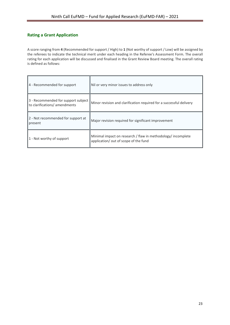#### **Rating a Grant Application**

A score ranging from **4** (Recommended for support / High) to **1** (Not worthy of support / Low) will be assigned by the referees to indicate the technical merit under each heading in the Referee's Assessment Form. The overall rating for each application will be discussed and finalised in the Grant Review Board meeting. The overall rating is defined as follows:

| 4 - Recommended for support                                          | Nil or very minor issues to address only                                                              |
|----------------------------------------------------------------------|-------------------------------------------------------------------------------------------------------|
| 3 - Recommended for support subject<br>to clarifications/ amendments | Minor revision and clarification required for a successful delivery                                   |
| 2 - Not recommended for support at<br>present                        | Major revision required for significant improvement                                                   |
| 1 - Not worthy of support                                            | Minimal impact on research / flaw in methodology/ incomplete<br>application/ out of scope of the fund |